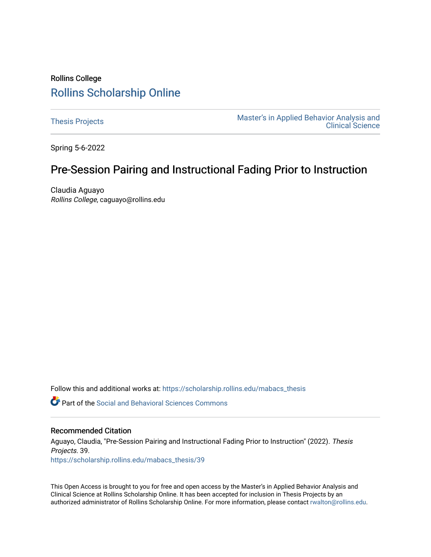# Rollins College [Rollins Scholarship Online](https://scholarship.rollins.edu/)

[Thesis Projects](https://scholarship.rollins.edu/mabacs_thesis) **Master's in Applied Behavior Analysis and** Master's in Applied Behavior Analysis and [Clinical Science](https://scholarship.rollins.edu/mabacs) 

Spring 5-6-2022

# Pre-Session Pairing and Instructional Fading Prior to Instruction

Claudia Aguayo Rollins College, caguayo@rollins.edu

Follow this and additional works at: [https://scholarship.rollins.edu/mabacs\\_thesis](https://scholarship.rollins.edu/mabacs_thesis?utm_source=scholarship.rollins.edu%2Fmabacs_thesis%2F39&utm_medium=PDF&utm_campaign=PDFCoverPages) 

**C** Part of the Social and Behavioral Sciences Commons

### Recommended Citation

Aguayo, Claudia, "Pre-Session Pairing and Instructional Fading Prior to Instruction" (2022). Thesis Projects. 39. [https://scholarship.rollins.edu/mabacs\\_thesis/39](https://scholarship.rollins.edu/mabacs_thesis/39?utm_source=scholarship.rollins.edu%2Fmabacs_thesis%2F39&utm_medium=PDF&utm_campaign=PDFCoverPages) 

This Open Access is brought to you for free and open access by the Master's in Applied Behavior Analysis and Clinical Science at Rollins Scholarship Online. It has been accepted for inclusion in Thesis Projects by an authorized administrator of Rollins Scholarship Online. For more information, please contact [rwalton@rollins.edu](mailto:rwalton@rollins.edu).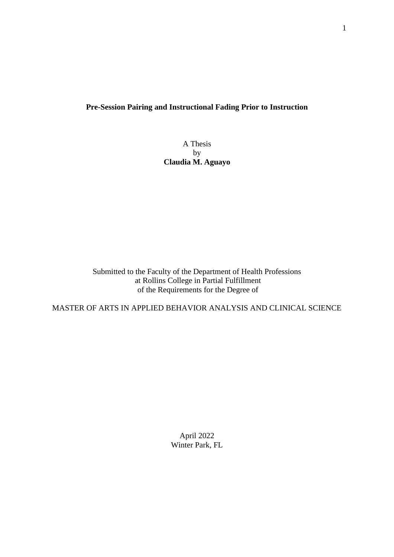## **Pre-Session Pairing and Instructional Fading Prior to Instruction**

A Thesis by **Claudia M. Aguayo**

Submitted to the Faculty of the Department of Health Professions at Rollins College in Partial Fulfillment of the Requirements for the Degree of

MASTER OF ARTS IN APPLIED BEHAVIOR ANALYSIS AND CLINICAL SCIENCE

April 2022 Winter Park, FL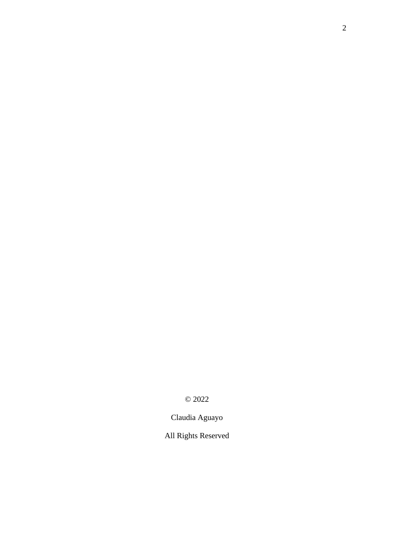© 2022

Claudia Aguayo

All Rights Reserved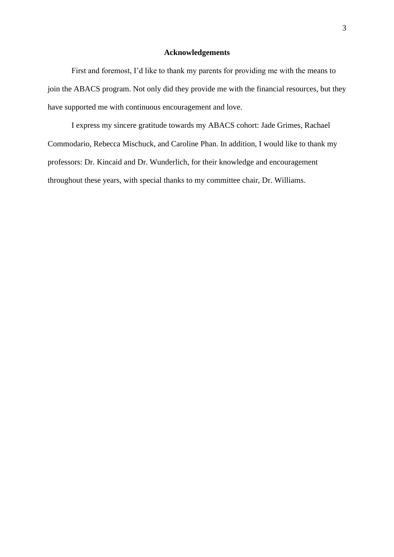## **Acknowledgements**

First and foremost, I'd like to thank my parents for providing me with the means to join the ABACS program. Not only did they provide me with the financial resources, but they have supported me with continuous encouragement and love.

I express my sincere gratitude towards my ABACS cohort: Jade Grimes, Rachael Commodario, Rebecca Mischuck, and Caroline Phan. In addition, I would like to thank my professors: Dr. Kincaid and Dr. Wunderlich, for their knowledge and encouragement throughout these years, with special thanks to my committee chair, Dr. Williams.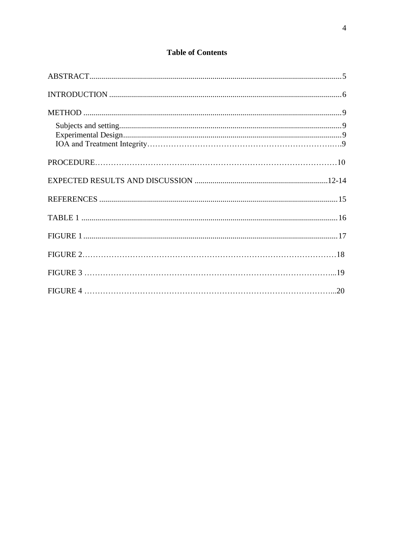# **Table of Contents**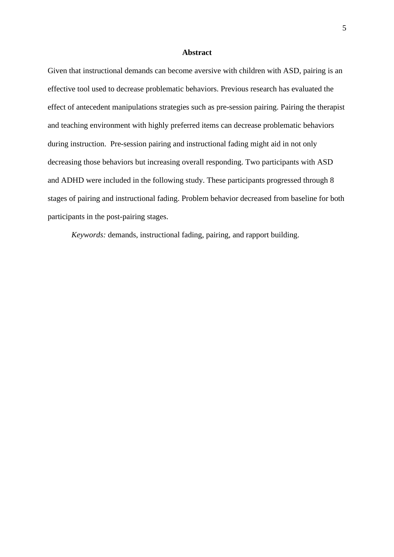#### **Abstract**

Given that instructional demands can become aversive with children with ASD, pairing is an effective tool used to decrease problematic behaviors. Previous research has evaluated the effect of antecedent manipulations strategies such as pre-session pairing. Pairing the therapist and teaching environment with highly preferred items can decrease problematic behaviors during instruction. Pre-session pairing and instructional fading might aid in not only decreasing those behaviors but increasing overall responding. Two participants with ASD and ADHD were included in the following study. These participants progressed through 8 stages of pairing and instructional fading. Problem behavior decreased from baseline for both participants in the post-pairing stages.

*Keywords:* demands, instructional fading, pairing, and rapport building.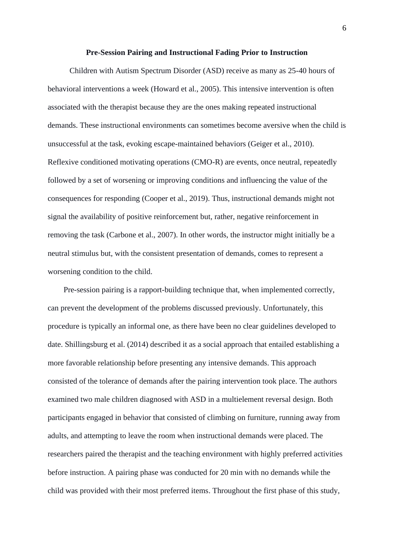#### **Pre-Session Pairing and Instructional Fading Prior to Instruction**

Children with Autism Spectrum Disorder (ASD) receive as many as 25-40 hours of behavioral interventions a week (Howard et al., 2005). This intensive intervention is often associated with the therapist because they are the ones making repeated instructional demands. These instructional environments can sometimes become aversive when the child is unsuccessful at the task, evoking escape-maintained behaviors (Geiger et al., 2010). Reflexive conditioned motivating operations (CMO-R) are events, once neutral, repeatedly followed by a set of worsening or improving conditions and influencing the value of the consequences for responding (Cooper et al., 2019). Thus, instructional demands might not signal the availability of positive reinforcement but, rather, negative reinforcement in removing the task (Carbone et al., 2007). In other words, the instructor might initially be a neutral stimulus but, with the consistent presentation of demands, comes to represent a worsening condition to the child.

Pre-session pairing is a rapport-building technique that, when implemented correctly, can prevent the development of the problems discussed previously. Unfortunately, this procedure is typically an informal one, as there have been no clear guidelines developed to date. Shillingsburg et al. (2014) described it as a social approach that entailed establishing a more favorable relationship before presenting any intensive demands. This approach consisted of the tolerance of demands after the pairing intervention took place. The authors examined two male children diagnosed with ASD in a multielement reversal design. Both participants engaged in behavior that consisted of climbing on furniture, running away from adults, and attempting to leave the room when instructional demands were placed. The researchers paired the therapist and the teaching environment with highly preferred activities before instruction. A pairing phase was conducted for 20 min with no demands while the child was provided with their most preferred items. Throughout the first phase of this study,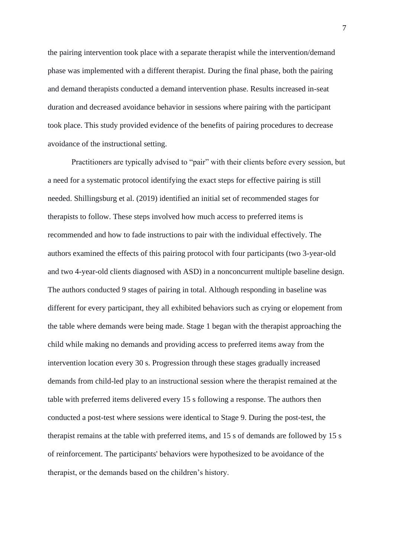the pairing intervention took place with a separate therapist while the intervention/demand phase was implemented with a different therapist. During the final phase, both the pairing and demand therapists conducted a demand intervention phase. Results increased in-seat duration and decreased avoidance behavior in sessions where pairing with the participant took place. This study provided evidence of the benefits of pairing procedures to decrease avoidance of the instructional setting.

Practitioners are typically advised to "pair" with their clients before every session, but a need for a systematic protocol identifying the exact steps for effective pairing is still needed. Shillingsburg et al. (2019) identified an initial set of recommended stages for therapists to follow. These steps involved how much access to preferred items is recommended and how to fade instructions to pair with the individual effectively. The authors examined the effects of this pairing protocol with four participants (two 3-year-old and two 4-year-old clients diagnosed with ASD) in a nonconcurrent multiple baseline design. The authors conducted 9 stages of pairing in total. Although responding in baseline was different for every participant, they all exhibited behaviors such as crying or elopement from the table where demands were being made. Stage 1 began with the therapist approaching the child while making no demands and providing access to preferred items away from the intervention location every 30 s. Progression through these stages gradually increased demands from child-led play to an instructional session where the therapist remained at the table with preferred items delivered every 15 s following a response. The authors then conducted a post-test where sessions were identical to Stage 9. During the post-test, the therapist remains at the table with preferred items, and 15 s of demands are followed by 15 s of reinforcement. The participants' behaviors were hypothesized to be avoidance of the therapist, or the demands based on the children's history.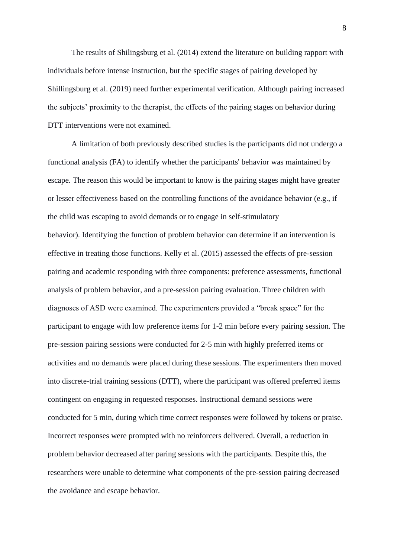The results of Shilingsburg et al. (2014) extend the literature on building rapport with individuals before intense instruction, but the specific stages of pairing developed by Shillingsburg et al. (2019) need further experimental verification. Although pairing increased the subjects' proximity to the therapist, the effects of the pairing stages on behavior during DTT interventions were not examined.

A limitation of both previously described studies is the participants did not undergo a functional analysis (FA) to identify whether the participants' behavior was maintained by escape. The reason this would be important to know is the pairing stages might have greater or lesser effectiveness based on the controlling functions of the avoidance behavior (e.g., if the child was escaping to avoid demands or to engage in self-stimulatory behavior). Identifying the function of problem behavior can determine if an intervention is effective in treating those functions. Kelly et al. (2015) assessed the effects of pre-session pairing and academic responding with three components: preference assessments, functional analysis of problem behavior, and a pre-session pairing evaluation. Three children with diagnoses of ASD were examined. The experimenters provided a "break space" for the participant to engage with low preference items for 1-2 min before every pairing session. The pre-session pairing sessions were conducted for 2-5 min with highly preferred items or activities and no demands were placed during these sessions. The experimenters then moved into discrete-trial training sessions (DTT), where the participant was offered preferred items contingent on engaging in requested responses. Instructional demand sessions were conducted for 5 min, during which time correct responses were followed by tokens or praise. Incorrect responses were prompted with no reinforcers delivered. Overall, a reduction in problem behavior decreased after paring sessions with the participants. Despite this, the researchers were unable to determine what components of the pre-session pairing decreased the avoidance and escape behavior.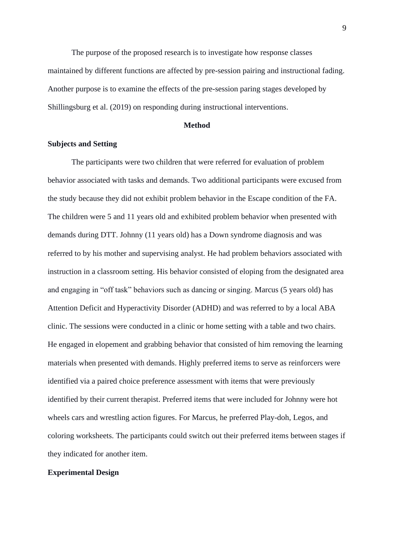The purpose of the proposed research is to investigate how response classes maintained by different functions are affected by pre-session pairing and instructional fading. Another purpose is to examine the effects of the pre-session paring stages developed by Shillingsburg et al. (2019) on responding during instructional interventions.

#### **Method**

### **Subjects and Setting**

The participants were two children that were referred for evaluation of problem behavior associated with tasks and demands. Two additional participants were excused from the study because they did not exhibit problem behavior in the Escape condition of the FA. The children were 5 and 11 years old and exhibited problem behavior when presented with demands during DTT. Johnny (11 years old) has a Down syndrome diagnosis and was referred to by his mother and supervising analyst. He had problem behaviors associated with instruction in a classroom setting. His behavior consisted of eloping from the designated area and engaging in "off task" behaviors such as dancing or singing. Marcus (5 years old) has Attention Deficit and Hyperactivity Disorder (ADHD) and was referred to by a local ABA clinic. The sessions were conducted in a clinic or home setting with a table and two chairs. He engaged in elopement and grabbing behavior that consisted of him removing the learning materials when presented with demands. Highly preferred items to serve as reinforcers were identified via a paired choice preference assessment with items that were previously identified by their current therapist. Preferred items that were included for Johnny were hot wheels cars and wrestling action figures. For Marcus, he preferred Play-doh, Legos, and coloring worksheets. The participants could switch out their preferred items between stages if they indicated for another item.

#### **Experimental Design**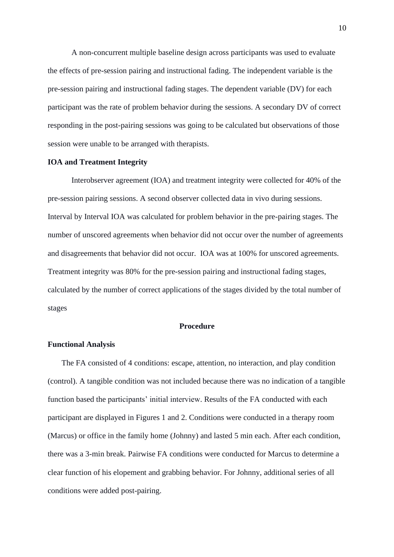A non-concurrent multiple baseline design across participants was used to evaluate the effects of pre-session pairing and instructional fading. The independent variable is the pre-session pairing and instructional fading stages. The dependent variable (DV) for each participant was the rate of problem behavior during the sessions. A secondary DV of correct responding in the post-pairing sessions was going to be calculated but observations of those session were unable to be arranged with therapists.

### **IOA and Treatment Integrity**

Interobserver agreement (IOA) and treatment integrity were collected for 40% of the pre-session pairing sessions. A second observer collected data in vivo during sessions. Interval by Interval IOA was calculated for problem behavior in the pre-pairing stages. The number of unscored agreements when behavior did not occur over the number of agreements and disagreements that behavior did not occur. IOA was at 100% for unscored agreements. Treatment integrity was 80% for the pre-session pairing and instructional fading stages, calculated by the number of correct applications of the stages divided by the total number of stages

### **Procedure**

## **Functional Analysis**

The FA consisted of 4 conditions: escape, attention, no interaction, and play condition (control). A tangible condition was not included because there was no indication of a tangible function based the participants' initial interview. Results of the FA conducted with each participant are displayed in Figures 1 and 2. Conditions were conducted in a therapy room (Marcus) or office in the family home (Johnny) and lasted 5 min each. After each condition, there was a 3-min break. Pairwise FA conditions were conducted for Marcus to determine a clear function of his elopement and grabbing behavior. For Johnny, additional series of all conditions were added post-pairing.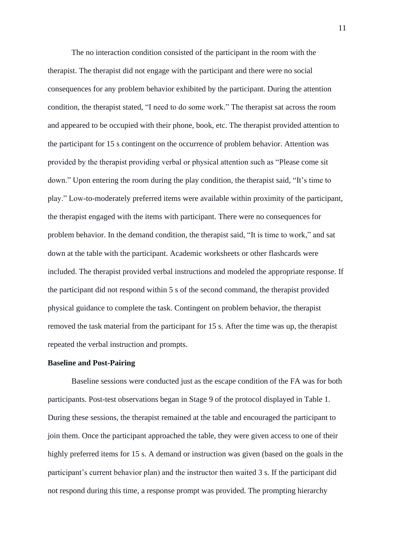The no interaction condition consisted of the participant in the room with the therapist. The therapist did not engage with the participant and there were no social consequences for any problem behavior exhibited by the participant. During the attention condition, the therapist stated, "I need to do some work." The therapist sat across the room and appeared to be occupied with their phone, book, etc. The therapist provided attention to the participant for 15 s contingent on the occurrence of problem behavior. Attention was provided by the therapist providing verbal or physical attention such as "Please come sit down." Upon entering the room during the play condition, the therapist said, "It's time to play." Low-to-moderately preferred items were available within proximity of the participant, the therapist engaged with the items with participant. There were no consequences for problem behavior. In the demand condition, the therapist said, "It is time to work," and sat down at the table with the participant. Academic worksheets or other flashcards were included. The therapist provided verbal instructions and modeled the appropriate response. If the participant did not respond within 5 s of the second command, the therapist provided physical guidance to complete the task. Contingent on problem behavior, the therapist removed the task material from the participant for 15 s. After the time was up, the therapist repeated the verbal instruction and prompts.

#### **Baseline and Post-Pairing**

Baseline sessions were conducted just as the escape condition of the FA was for both participants. Post-test observations began in Stage 9 of the protocol displayed in Table 1. During these sessions, the therapist remained at the table and encouraged the participant to join them. Once the participant approached the table, they were given access to one of their highly preferred items for 15 s. A demand or instruction was given (based on the goals in the participant's current behavior plan) and the instructor then waited 3 s. If the participant did not respond during this time, a response prompt was provided. The prompting hierarchy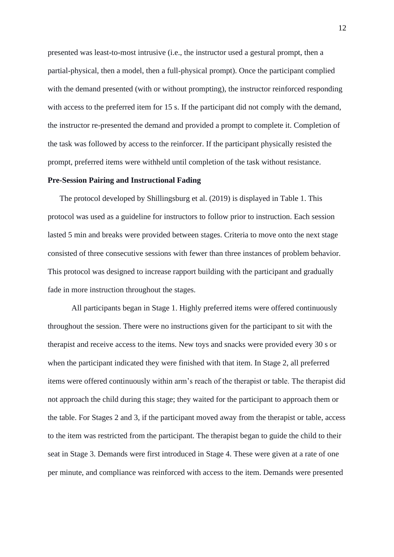presented was least-to-most intrusive (i.e., the instructor used a gestural prompt, then a partial-physical, then a model, then a full-physical prompt). Once the participant complied with the demand presented (with or without prompting), the instructor reinforced responding with access to the preferred item for 15 s. If the participant did not comply with the demand, the instructor re-presented the demand and provided a prompt to complete it. Completion of the task was followed by access to the reinforcer. If the participant physically resisted the prompt, preferred items were withheld until completion of the task without resistance.

## **Pre-Session Pairing and Instructional Fading**

The protocol developed by Shillingsburg et al. (2019) is displayed in Table 1. This protocol was used as a guideline for instructors to follow prior to instruction. Each session lasted 5 min and breaks were provided between stages. Criteria to move onto the next stage consisted of three consecutive sessions with fewer than three instances of problem behavior. This protocol was designed to increase rapport building with the participant and gradually fade in more instruction throughout the stages.

All participants began in Stage 1. Highly preferred items were offered continuously throughout the session. There were no instructions given for the participant to sit with the therapist and receive access to the items. New toys and snacks were provided every 30 s or when the participant indicated they were finished with that item. In Stage 2, all preferred items were offered continuously within arm's reach of the therapist or table. The therapist did not approach the child during this stage; they waited for the participant to approach them or the table. For Stages 2 and 3, if the participant moved away from the therapist or table, access to the item was restricted from the participant. The therapist began to guide the child to their seat in Stage 3. Demands were first introduced in Stage 4. These were given at a rate of one per minute, and compliance was reinforced with access to the item. Demands were presented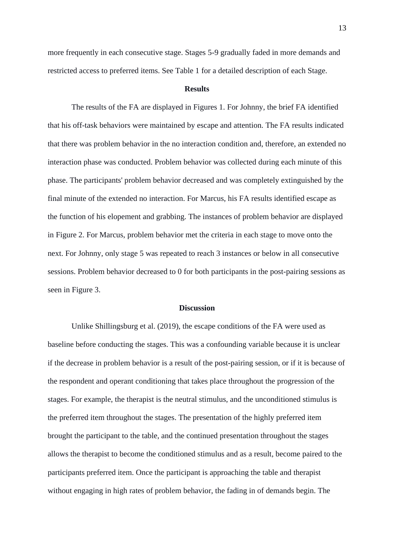more frequently in each consecutive stage. Stages 5-9 gradually faded in more demands and restricted access to preferred items. See Table 1 for a detailed description of each Stage.

#### **Results**

The results of the FA are displayed in Figures 1. For Johnny, the brief FA identified that his off-task behaviors were maintained by escape and attention. The FA results indicated that there was problem behavior in the no interaction condition and, therefore, an extended no interaction phase was conducted. Problem behavior was collected during each minute of this phase. The participants' problem behavior decreased and was completely extinguished by the final minute of the extended no interaction. For Marcus, his FA results identified escape as the function of his elopement and grabbing. The instances of problem behavior are displayed in Figure 2. For Marcus, problem behavior met the criteria in each stage to move onto the next. For Johnny, only stage 5 was repeated to reach 3 instances or below in all consecutive sessions. Problem behavior decreased to 0 for both participants in the post-pairing sessions as seen in Figure 3.

#### **Discussion**

Unlike Shillingsburg et al. (2019), the escape conditions of the FA were used as baseline before conducting the stages. This was a confounding variable because it is unclear if the decrease in problem behavior is a result of the post-pairing session, or if it is because of the respondent and operant conditioning that takes place throughout the progression of the stages. For example, the therapist is the neutral stimulus, and the unconditioned stimulus is the preferred item throughout the stages. The presentation of the highly preferred item brought the participant to the table, and the continued presentation throughout the stages allows the therapist to become the conditioned stimulus and as a result, become paired to the participants preferred item. Once the participant is approaching the table and therapist without engaging in high rates of problem behavior, the fading in of demands begin. The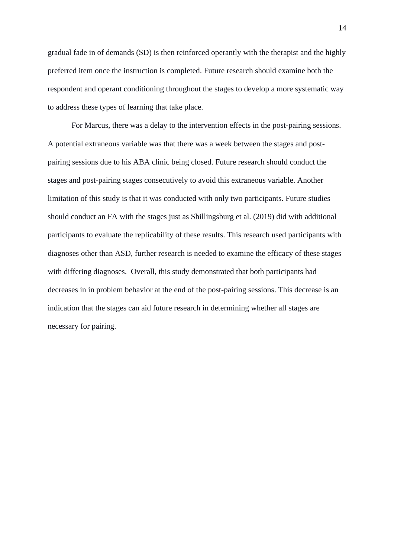gradual fade in of demands (SD) is then reinforced operantly with the therapist and the highly preferred item once the instruction is completed. Future research should examine both the respondent and operant conditioning throughout the stages to develop a more systematic way to address these types of learning that take place.

For Marcus, there was a delay to the intervention effects in the post-pairing sessions. A potential extraneous variable was that there was a week between the stages and postpairing sessions due to his ABA clinic being closed. Future research should conduct the stages and post-pairing stages consecutively to avoid this extraneous variable. Another limitation of this study is that it was conducted with only two participants. Future studies should conduct an FA with the stages just as Shillingsburg et al. (2019) did with additional participants to evaluate the replicability of these results. This research used participants with diagnoses other than ASD, further research is needed to examine the efficacy of these stages with differing diagnoses. Overall, this study demonstrated that both participants had decreases in in problem behavior at the end of the post-pairing sessions. This decrease is an indication that the stages can aid future research in determining whether all stages are necessary for pairing.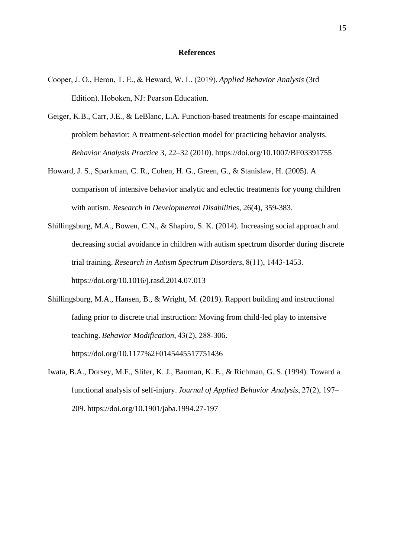#### **References**

- Cooper, J. O., Heron, T. E., & Heward, W. L. (2019). *Applied Behavior Analysis* (3rd Edition). Hoboken, NJ: Pearson Education.
- Geiger, K.B., Carr, J.E., & LeBlanc, L.A. Function-based treatments for escape-maintained problem behavior: A treatment-selection model for practicing behavior analysts. *Behavior Analysis Practice* 3, 22–32 (2010). https://doi.org/10.1007/BF03391755
- Howard, J. S., Sparkman, C. R., Cohen, H. G., Green, G., & Stanislaw, H. (2005). A comparison of intensive behavior analytic and eclectic treatments for young children with autism. *Research in Developmental Disabilities*, 26(4), 359-383.
- Shillingsburg, M.A., Bowen, C.N., & Shapiro, S. K. (2014). Increasing social approach and decreasing social avoidance in children with autism spectrum disorder during discrete trial training. *Research in Autism Spectrum Disorders*, 8(11), 1443-1453. https://doi.org/10.1016/j.rasd.2014.07.013
- Shillingsburg, M.A., Hansen, B., & Wright, M. (2019). Rapport building and instructional fading prior to discrete trial instruction: Moving from child-led play to intensive teaching. *Behavior Modification*, 43(2), 288-306. https://doi.org/10.1177%2F0145445517751436
- Iwata, B.A., Dorsey, M.F., Slifer, K. J., Bauman, K. E., & Richman, G. S. (1994). Toward a functional analysis of self-injury. *Journal of Applied Behavior Analysis*, 27(2), 197– 209. https://doi.org/10.1901/jaba.1994.27-197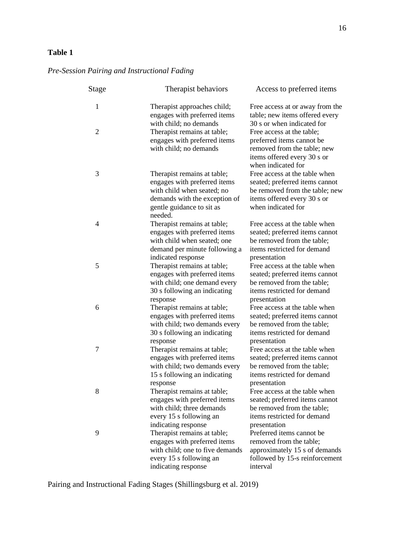## **Table 1**

# *Pre-Session Pairing and Instructional Fading*

| <b>Stage</b>   | Therapist behaviors                                                                                                                                                | Access to preferred items                                                                                                                                    |
|----------------|--------------------------------------------------------------------------------------------------------------------------------------------------------------------|--------------------------------------------------------------------------------------------------------------------------------------------------------------|
| 1              | Therapist approaches child;<br>engages with preferred items<br>with child; no demands                                                                              | Free access at or away from the<br>table; new items offered every<br>30 s or when indicated for                                                              |
| $\overline{2}$ | Therapist remains at table;<br>engages with preferred items<br>with child; no demands                                                                              | Free access at the table;<br>preferred items cannot be<br>removed from the table; new<br>items offered every 30 s or<br>when indicated for                   |
| 3              | Therapist remains at table;<br>engages with preferred items<br>with child when seated; no<br>demands with the exception of<br>gentle guidance to sit as<br>needed. | Free access at the table when<br>seated; preferred items cannot<br>be removed from the table; new<br>items offered every 30 s or<br>when indicated for       |
| 4              | Therapist remains at table;<br>engages with preferred items<br>with child when seated; one<br>demand per minute following a                                        | Free access at the table when<br>seated; preferred items cannot<br>be removed from the table;<br>items restricted for demand                                 |
| 5              | indicated response<br>Therapist remains at table;<br>engages with preferred items<br>with child; one demand every<br>30 s following an indicating<br>response      | presentation<br>Free access at the table when<br>seated; preferred items cannot<br>be removed from the table;<br>items restricted for demand<br>presentation |
| 6              | Therapist remains at table;<br>engages with preferred items<br>with child; two demands every<br>30 s following an indicating<br>response                           | Free access at the table when<br>seated; preferred items cannot<br>be removed from the table;<br>items restricted for demand<br>presentation                 |
| 7              | Therapist remains at table;<br>engages with preferred items<br>with child; two demands every<br>15 s following an indicating<br>response                           | Free access at the table when<br>seated; preferred items cannot<br>be removed from the table;<br>items restricted for demand<br>presentation                 |
| 8              | Therapist remains at table;<br>engages with preferred items<br>with child; three demands<br>every 15 s following an<br>indicating response                         | Free access at the table when<br>seated; preferred items cannot<br>be removed from the table;<br>items restricted for demand<br>presentation                 |
| 9              | Therapist remains at table;<br>engages with preferred items<br>with child; one to five demands<br>every 15 s following an<br>indicating response                   | Preferred items cannot be<br>removed from the table;<br>approximately 15 s of demands<br>followed by 15-s reinforcement<br>interval                          |

Pairing and Instructional Fading Stages (Shillingsburg et al. 2019)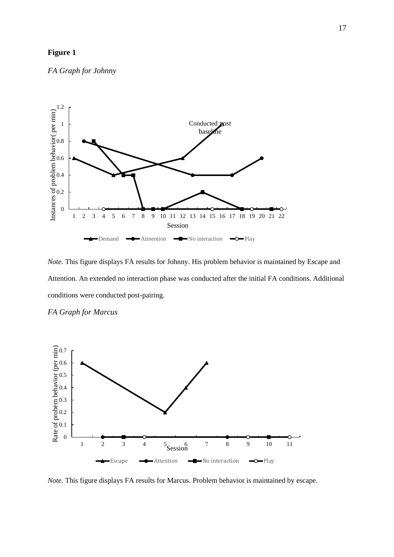## **Figure 1**

*FA Graph for Johnny*



*Note.* This figure displays FA results for Johnny. His problem behavior is maintained by Escape and Attention. An extended no interaction phase was conducted after the initial FA conditions. Additional conditions were conducted post-pairing.





*Note.* This figure displays FA results for Marcus. Problem behavior is maintained by escape.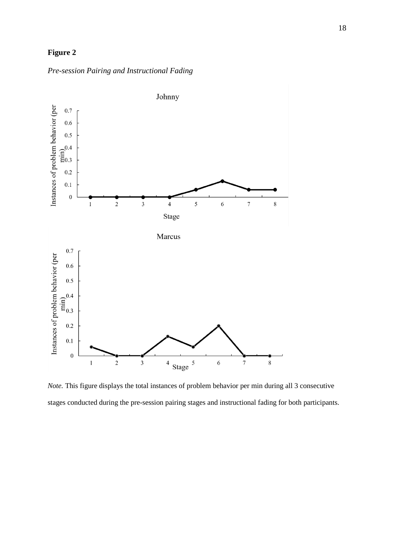## **Figure 2**

*Pre-session Pairing and Instructional Fading*



*Note.* This figure displays the total instances of problem behavior per min during all 3 consecutive stages conducted during the pre-session pairing stages and instructional fading for both participants.